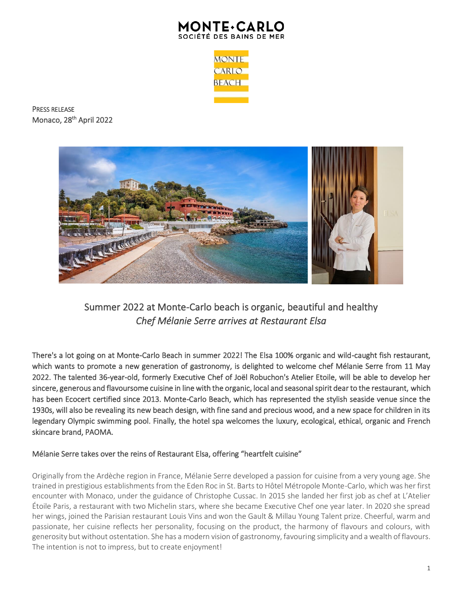# **MONTE·CAR** SOCIÉTÉ DES BAINS DE MER



PRESS RELEASE Monaco, 28<sup>th</sup> April 2022



# Summer 2022 at Monte-Carlo beach is organic, beautiful and healthy *Chef Mélanie Serre arrives at Restaurant Elsa*

There's a lot going on at Monte-Carlo Beach in summer 2022! The Elsa 100% organic and wild-caught fish restaurant, which wants to promote a new generation of gastronomy, is delighted to welcome chef Mélanie Serre from 11 May 2022. The talented 36-year-old, formerly Executive Chef of Joël Robuchon's Atelier Etoile, will be able to develop her sincere, generous and flavoursome cuisine in line with the organic, local and seasonal spirit dear to the restaurant, which has been Ecocert certified since 2013. Monte-Carlo Beach, which has represented the stylish seaside venue since the 1930s, will also be revealing its new beach design, with fine sand and precious wood, and a new space for children in its legendary Olympic swimming pool. Finally, the hotel spa welcomes the luxury, ecological, ethical, organic and French skincare brand, PAOMA.

## Mélanie Serre takes over the reins of Restaurant Elsa, offering "heartfelt cuisine"

Originally from the Ardèche region in France, Mélanie Serre developed a passion for cuisine from a very young age. She trained in prestigious establishments from the Eden Roc in St. Barts to Hôtel Métropole Monte-Carlo, which was her first encounter with Monaco, under the guidance of Christophe Cussac. In 2015 she landed her first job as chef at L'Atelier Étoile Paris, a restaurant with two Michelin stars, where she became Executive Chef one year later. In 2020 she spread her wings, joined the Parisian restaurant Louis Vins and won the Gault & Millau Young Talent prize. Cheerful, warm and passionate, her cuisine reflects her personality, focusing on the product, the harmony of flavours and colours, with generosity but without ostentation. She has a modern vision of gastronomy, favouring simplicity and a wealth of flavours. The intention is not to impress, but to create enjoyment!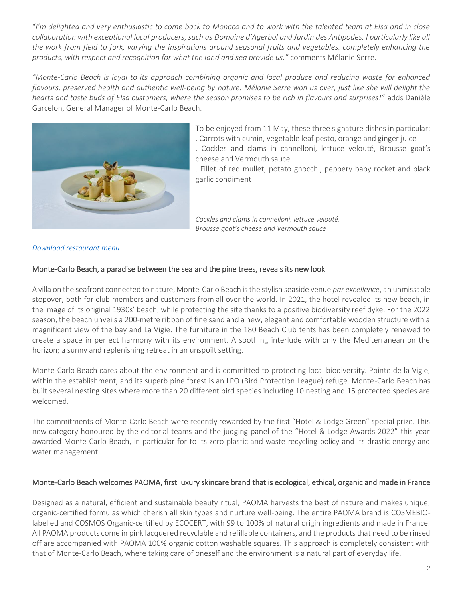"*I'm delighted and very enthusiastic to come back to Monaco and to work with the talented team at Elsa and in close collaboration with exceptional local producers, such as Domaine d'Agerbol and Jardin des Antipodes. I particularly like all the work from field to fork, varying the inspirations around seasonal fruits and vegetables, completely enhancing the products, with respect and recognition for what the land and sea provide us,"* comments Mélanie Serre.

*"Monte-Carlo Beach is loyal to its approach combining organic and local produce and reducing waste for enhanced flavours, preserved health and authentic well-being by nature. Mélanie Serre won us over, just like she will delight the hearts and taste buds of Elsa customers, where the season promises to be rich in flavours and surprises!"* adds Danièle Garcelon, General Manager of Monte-Carlo Beach.



To be enjoyed from 11 May, these three signature dishes in particular: . Carrots with cumin, vegetable leaf pesto, orange and ginger juice

. Cockles and clams in cannelloni, lettuce velouté, Brousse goat's cheese and Vermouth sauce

. Fillet of red mullet, potato gnocchi, peppery baby rocket and black garlic condiment

*Cockles and clams in cannelloni, lettuce velouté, Brousse goat's cheese and Vermouth sauce*

#### *[Download restaurant menu](https://montecarlosbm-my.sharepoint.com/:b:/g/personal/m_dalzon_sbm_mc/EQGy3bd_fYJNsvVuad8FiA8BUiWcIzXRr3JQmdDy2I5_Kw?e=SmF4gO)*

### Monte-Carlo Beach, a paradise between the sea and the pine trees, reveals its new look

A villa on the seafront connected to nature, Monte-Carlo Beach is the stylish seaside venue *par excellence*, an unmissable stopover, both for club members and customers from all over the world. In 2021, the hotel revealed its new beach, in the image of its original 1930s' beach, while protecting the site thanks to a positive biodiversity reef dyke. For the 2022 season, the beach unveils a 200-metre ribbon of fine sand and a new, elegant and comfortable wooden structure with a magnificent view of the bay and La Vigie. The furniture in the 180 Beach Club tents has been completely renewed to create a space in perfect harmony with its environment. A soothing interlude with only the Mediterranean on the horizon; a sunny and replenishing retreat in an unspoilt setting.

Monte-Carlo Beach cares about the environment and is committed to protecting local biodiversity. Pointe de la Vigie, within the establishment, and its superb pine forest is an LPO (Bird Protection League) refuge. Monte-Carlo Beach has built several nesting sites where more than 20 different bird species including 10 nesting and 15 protected species are welcomed.

The commitments of Monte-Carlo Beach were recently rewarded by the first "Hotel & Lodge Green" special prize. This new category honoured by the editorial teams and the judging panel of the "Hotel & Lodge Awards 2022" this year awarded Monte-Carlo Beach, in particular for to its zero-plastic and waste recycling policy and its drastic energy and water management.

### Monte-Carlo Beach welcomes PAOMA, first luxury skincare brand that is ecological, ethical, organic and made in France

Designed as a natural, efficient and sustainable beauty ritual, PAOMA harvests the best of nature and makes unique, organic-certified formulas which cherish all skin types and nurture well-being. The entire PAOMA brand is COSMEBIOlabelled and COSMOS Organic-certified by ECOCERT, with 99 to 100% of natural origin ingredients and made in France. All PAOMA products come in pink lacquered recyclable and refillable containers, and the products that need to be rinsed off are accompanied with PAOMA 100% organic cotton washable squares. This approach is completely consistent with that of Monte-Carlo Beach, where taking care of oneself and the environment is a natural part of everyday life.